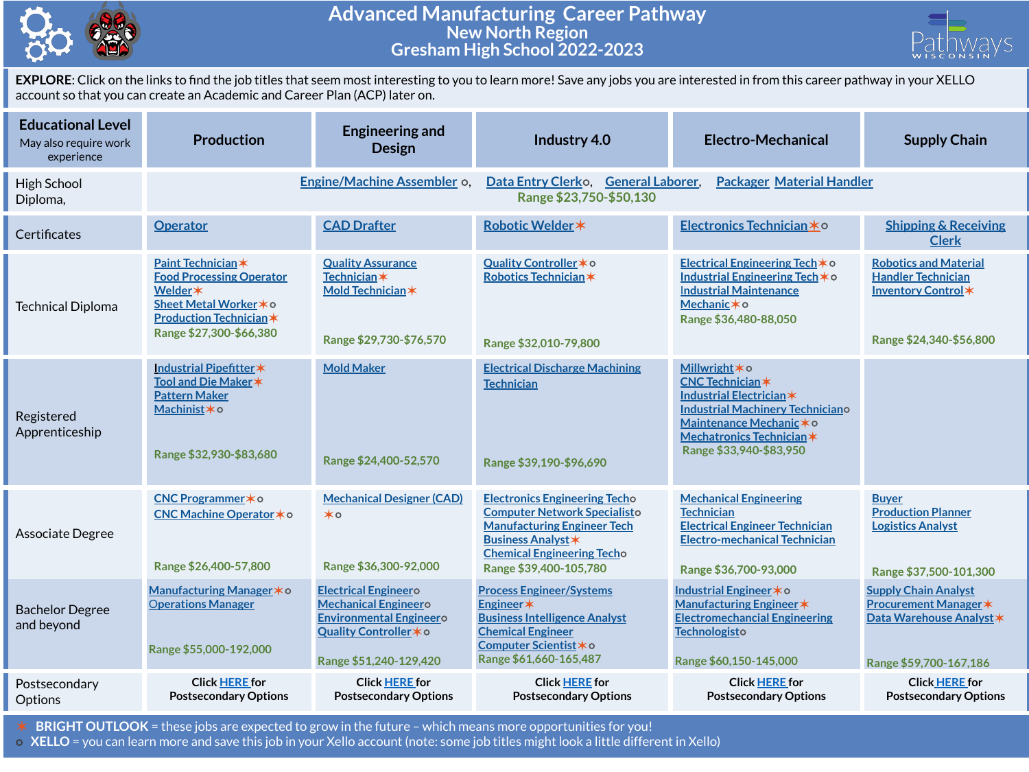

## **Advanced Manufacturing Career Pathway New North Region Gresham High School 2022-2023**



**EXPLORE**: Click on the links to find the job titles that seem most interesting to you to learn more! Save any jobs you are interested in from this career pathway in your XELLO account so that you can create an Academic and Career Plan (ACP) later on.

| <b>Educational Level</b><br>May also require work<br>experience | <b>Production</b>                                                                                                                                      | <b>Engineering and</b><br><b>Design</b>                                                                                                          | Industry 4.0                                                                                                                                                                                                  | Electro-Mechanical                                                                                                                                                                                  | <b>Supply Chain</b>                                                                                               |
|-----------------------------------------------------------------|--------------------------------------------------------------------------------------------------------------------------------------------------------|--------------------------------------------------------------------------------------------------------------------------------------------------|---------------------------------------------------------------------------------------------------------------------------------------------------------------------------------------------------------------|-----------------------------------------------------------------------------------------------------------------------------------------------------------------------------------------------------|-------------------------------------------------------------------------------------------------------------------|
| High School<br>Diploma,                                         | Engine/Machine Assembler o,                                                                                                                            |                                                                                                                                                  | Data Entry Clerko, General Laborer,<br><b>Packager Material Handler</b><br>Range \$23,750-\$50,130                                                                                                            |                                                                                                                                                                                                     |                                                                                                                   |
| Certificates                                                    | <b>Operator</b>                                                                                                                                        | <b>CAD Drafter</b>                                                                                                                               | Robotic Welder *                                                                                                                                                                                              | Electronics Technician * 0                                                                                                                                                                          | <b>Shipping &amp; Receiving</b><br><b>Clerk</b>                                                                   |
| <b>Technical Diploma</b>                                        | Paint Technician*<br><b>Food Processing Operator</b><br>Welder *<br>Sheet Metal Worker * o<br><b>Production Technician*</b><br>Range \$27,300-\$66,380 | <b>Quality Assurance</b><br>Technician*<br>Mold Technician*<br>Range \$29,730-\$76,570                                                           | Quality Controller * o<br>Robotics Technician*<br>Range \$32,010-79,800                                                                                                                                       | Electrical Engineering Tech * o<br>Industrial Engineering Tech * o<br><b>Industrial Maintenance</b><br>Mechanic*o<br>Range \$36,480-88,050                                                          | <b>Robotics and Material</b><br><b>Handler Technician</b><br>Inventory Control*<br>Range \$24,340-\$56,800        |
| Registered<br>Apprenticeship                                    | Industrial Pipefitter*<br>Tool and Die Maker *<br><b>Pattern Maker</b><br>Machinist*o<br>Range \$32,930-\$83,680                                       | <b>Mold Maker</b><br>Range \$24,400-52,570                                                                                                       | <b>Electrical Discharge Machining</b><br><b>Technician</b><br>Range \$39,190-\$96,690                                                                                                                         | Millwright * o<br><b>CNC Technician*</b><br>Industrial Electrician *<br><b>Industrial Machinery Techniciano</b><br>Maintenance Mechanic * o<br>Mechatronics Technician *<br>Range \$33,940-\$83,950 |                                                                                                                   |
| Associate Degree                                                | CNC Programmer * o<br>CNC Machine Operator * o<br>Range \$26,400-57,800                                                                                | <b>Mechanical Designer (CAD)</b><br>$\star \circ$<br>Range \$36,300-92,000                                                                       | <b>Electronics Engineering Techo</b><br><b>Computer Network Specialisto</b><br><b>Manufacturing Engineer Tech</b><br><b>Business Analyst *</b><br><b>Chemical Engineering Techo</b><br>Range \$39,400-105,780 | <b>Mechanical Engineering</b><br><b>Technician</b><br><b>Electrical Engineer Technician</b><br><b>Electro-mechanical Technician</b><br>Range \$36,700-93,000                                        | <b>Buyer</b><br><b>Production Planner</b><br><b>Logistics Analyst</b><br>Range \$37,500-101,300                   |
| <b>Bachelor Degree</b><br>and beyond                            | Manufacturing Manager * o<br><b>Operations Manager</b><br>Range \$55,000-192,000                                                                       | <b>Electrical Engineero</b><br><b>Mechanical Engineero</b><br><b>Environmental Engineero</b><br>Quality Controller * o<br>Range \$51,240-129,420 | <b>Process Engineer/Systems</b><br>Engineer*<br><b>Business Intelligence Analyst</b><br><b>Chemical Engineer</b><br>Computer Scientist * o<br>Range \$61,660-165,487                                          | <b>Industrial Engineer</b> <sup>★</sup> o<br>Manufacturing Engineer *<br><b>Electromechancial Engineering</b><br>Technologisto<br>Range \$60,150-145,000                                            | <b>Supply Chain Analyst</b><br><b>Procurement Manager *</b><br>Data Warehouse Analyst *<br>Range \$59,700-167,186 |
| Postsecondary<br>Options                                        | <b>Click HERE for</b><br><b>Postsecondary Options</b>                                                                                                  | <b>Click HERE for</b><br><b>Postsecondary Options</b>                                                                                            | <b>Click HERE for</b><br><b>Postsecondary Options</b>                                                                                                                                                         | <b>Click HERE for</b><br><b>Postsecondary Options</b>                                                                                                                                               | <b>Click HERE for</b><br><b>Postsecondary Options</b>                                                             |

✶ **BRIGHT OUTLOOK** = these jobs are expected to grow in the future – which means more opportunities for you!

⭘ **XELLO** = you can learn more and save this job in your Xello account (note: some job titles might look a little different in Xello)